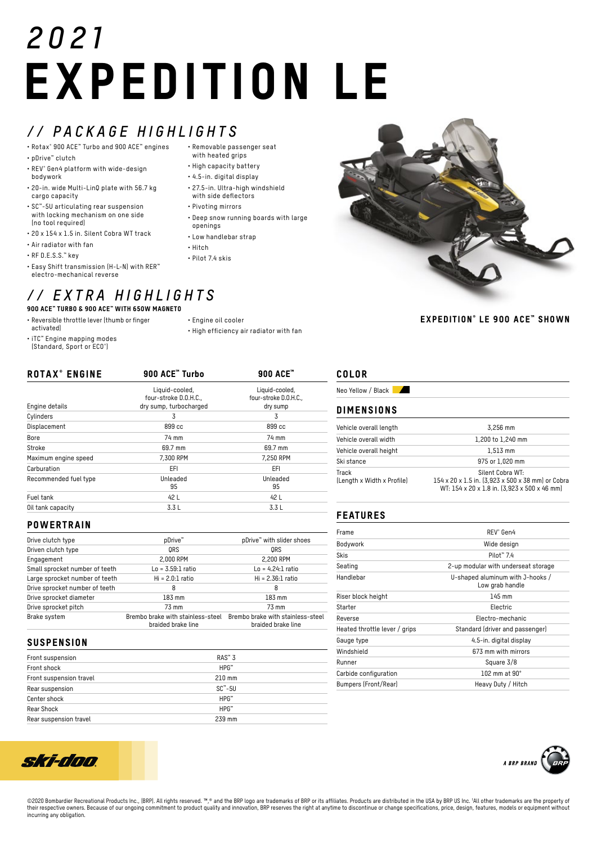# *2021* EXPEDITION LE

with heated grips • High capacity battery • 4.5-in. digital display • 27.5-in. Ultra-high windshield with side deflectors • Pivoting mirrors

openings • Low handlebar strap

• Hitch • Pilot 7.4 skis

## *// PACKAGE HIGHLIGHTS* • Removable passenger seat

- Rotax® 900 ACE™ Turbo and 900 ACE™ engines
- pDrive™ clutch
- REV® Gen4 platform with wide-design bodywork
- 20-in. wide Multi-LinQ plate with 56.7 kg cargo capacity
- SC™-5U articulating rear suspension with locking mechanism on one side (no tool required)
- 20 x 154 x 1.5 in. Silent Cobra WT track
- Air radiator with fan
- RF D.E.S.S.™ key
- Easy Shift transmission (H-L-N) with RER™ electro-mechanical reverse

## *// EXTRA HIGHLIGHTS* 900 ACE™ TURBO & 900 ACE™ WITH 650W MAGNETO

- Reversible throttle lever (thumb or finger activated)
- iTC™ Engine mapping modes
- (Standard, Sport or ECO® )
- Engine oil cooler
- High efficiency air radiator with fan

• Deep snow running boards with large

| 900 ACE" Turbo                                                    | 900 ACE <sup>™</sup>                                |
|-------------------------------------------------------------------|-----------------------------------------------------|
| Liquid-cooled,<br>four-stroke D.O.H.C.,<br>dry sump, turbocharged | Liquid-cooled,<br>four-stroke D.O.H.C.,<br>dry sump |
| 3                                                                 | 3                                                   |
| 899 cc                                                            | 899 cc                                              |
| 74 mm                                                             | 74 mm                                               |
| 69.7 mm                                                           | 69.7 mm                                             |
| 7,300 RPM                                                         | 7.250 RPM                                           |
| EFI                                                               | EFI.                                                |
| Unleaded<br>95                                                    | Unleaded<br>95                                      |
| 42 L                                                              | 42 L                                                |
| 3.3L                                                              | 3.3L                                                |
|                                                                   |                                                     |

#### **POWERTRAIN**

| Drive clutch type              | pDrive™                                                 | pDrive™ with slider shoes                               |
|--------------------------------|---------------------------------------------------------|---------------------------------------------------------|
| Driven clutch type             | ORS                                                     | ORS                                                     |
| Engagement                     | 2,000 RPM                                               | 2,200 RPM                                               |
| Small sprocket number of teeth | $Lo = 3.59:1$ ratio                                     | $Lo = 4.24:1$ ratio                                     |
| Large sprocket number of teeth | $Hi = 2.0:1 ratio$                                      | $Hi = 2.36:1 ratio$                                     |
| Drive sprocket number of teeth | 8                                                       | 8                                                       |
| Drive sprocket diameter        | 183 mm                                                  | 183 mm                                                  |
| Drive sprocket pitch           | 73 mm                                                   | 73 mm                                                   |
| Brake system                   | Brembo brake with stainless-steel<br>braided brake line | Brembo brake with stainless-steel<br>braided brake line |

#### **SUSPENSION**

| Front suspension        | $RAS^{\omega}3$          |
|-------------------------|--------------------------|
| Front shock             | $HPG^m$                  |
| Front suspension travel | $210$ mm                 |
| Rear suspension         | $SC^{\prime\prime} - 5U$ |
| Center shock            | $HPG^*$                  |
| Rear Shock              | $HPG^*$                  |
| Rear suspension travel  | 239 mm                   |



EXPEDITION® LE 900 ACE<sup>®</sup> SHOWN

## COLOR

Neo Yellow / Black

#### DIMENSIONS

| Vehicle overall length              | 3.256 mm                                                              |
|-------------------------------------|-----------------------------------------------------------------------|
| Vehicle overall width               | 1,200 to 1,240 mm                                                     |
| Vehicle overall height              | $1.513$ mm                                                            |
| Ski stance                          | 975 or 1.020 mm                                                       |
| Track<br>(Length x Width x Profile) | Silent Cobra WT:<br>154 x 20 x 1.5 in. [3,923 x 500 x 38 mm] or Cobra |
|                                     | WT: 154 x 20 x 1.8 in. (3,923 x 500 x 46 mm)                          |

## FEATURES

| Frame                         | RFV® Gen4                                           |
|-------------------------------|-----------------------------------------------------|
| Bodywork                      | Wide design                                         |
| <b>Skis</b>                   | $Pilnt$ <sup>*</sup> 74                             |
| Seating                       | 2-up modular with underseat storage                 |
| Handlebar                     | U-shaped aluminum with J-hooks /<br>Low grab handle |
| Riser block height            | 145 mm                                              |
| Starter                       | Electric                                            |
| Reverse                       | Electro-mechanic                                    |
| Heated throttle lever / grips | Standard (driver and passenger)                     |
| Gauge type                    | 4.5-in. digital display                             |
| Windshield                    | 673 mm with mirrors                                 |
| Runner                        | Square 3/8                                          |
| Carbide configuration         | $102 \text{ mm}$ at $90^{\circ}$                    |
| Bumpers (Front/Rear)          | Heavy Duty / Hitch                                  |



©2020 Bombardier Recreational Products Inc., (BRP). All rights reserved. ™,® and the BRP logo are trademarks of BRP or its affiliates. Products are distributed in the USA by BRP US Inc. 1All other trademarks are the prope their respective owners. Because of our ongoing commitment to product quality and innovation, BRP reserves the right at anytime to discontinue or change specifications, price, design, features, models or equipment without incurring any obligation.